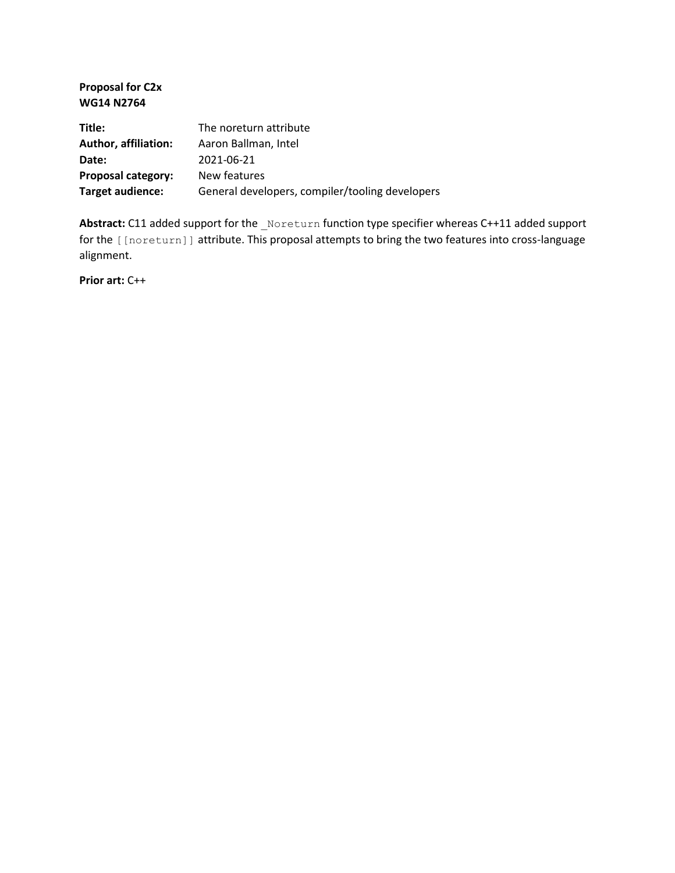**Proposal for C2x WG14 N2764**

| Title:               | The noreturn attribute                          |
|----------------------|-------------------------------------------------|
| Author, affiliation: | Aaron Ballman, Intel                            |
| Date:                | 2021-06-21                                      |
| Proposal category:   | New features                                    |
| Target audience:     | General developers, compiler/tooling developers |

Abstract: C11 added support for the \_Noreturn function type specifier whereas C++11 added support for the [[noreturn]] attribute. This proposal attempts to bring the two features into cross-language alignment.

**Prior art:** C++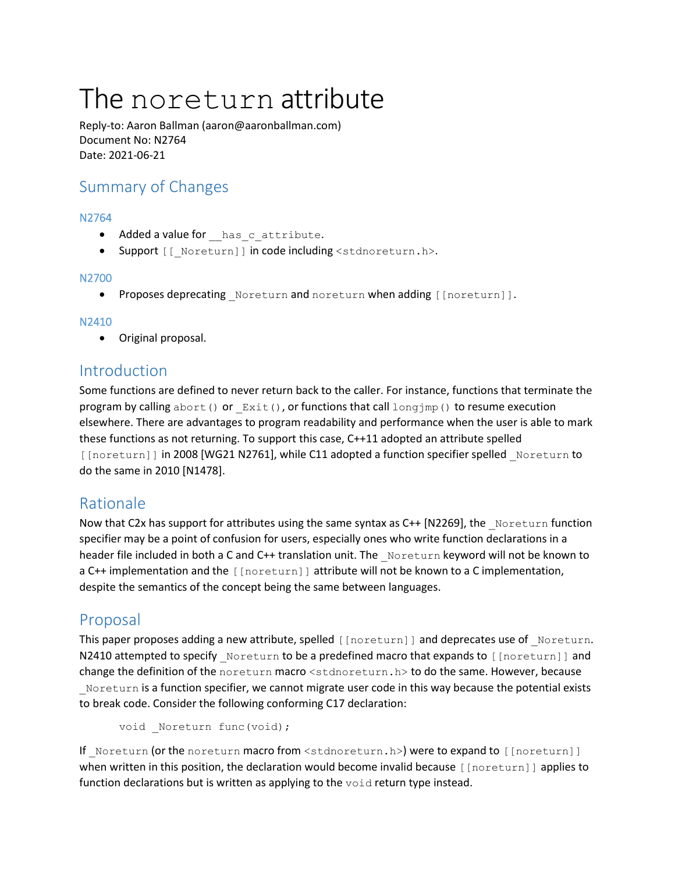# The noreturn attribute

Reply-to: Aaron Ballman (aaron@aaronballman.com) Document No: N2764 Date: 2021-06-21

# Summary of Changes

#### N2764

- Added a value for has c attribute.
- Support [[\_Noreturn]] in code including <stdnoreturn.h>.

#### N2700

• Proposes deprecating Noreturn and noreturn when adding [[noreturn]].

#### N2410

• Original proposal.

## Introduction

Some functions are defined to never return back to the caller. For instance, functions that terminate the program by calling abort () or  $Exit()$ , or functions that call long  $\gamma$  () to resume execution elsewhere. There are advantages to program readability and performance when the user is able to mark these functions as not returning. To support this case, C++11 adopted an attribute spelled [[noreturn]] in 2008 [WG21 N2761], while C11 adopted a function specifier spelled Noreturn to do the same in 2010 [N1478].

## Rationale

Now that C2x has support for attributes using the same syntax as C++ [N2269], the Noreturn function specifier may be a point of confusion for users, especially ones who write function declarations in a header file included in both a C and C++ translation unit. The Noreturn keyword will not be known to a C++ implementation and the [[noreturn]] attribute will not be known to a C implementation, despite the semantics of the concept being the same between languages.

## Proposal

This paper proposes adding a new attribute, spelled [[noreturn]] and deprecates use of Noreturn. N2410 attempted to specify Noreturn to be a predefined macro that expands to [[noreturn]] and change the definition of the noreturn macro <stdnoreturn.h> to do the same. However, because Noreturn is a function specifier, we cannot migrate user code in this way because the potential exists to break code. Consider the following conforming C17 declaration:

void Noreturn func(void);

If Noreturn (or the noreturn macro from <stdnoreturn.h>) were to expand to [[noreturn]] when written in this position, the declaration would become invalid because [[noreturn]] applies to function declarations but is written as applying to the void return type instead.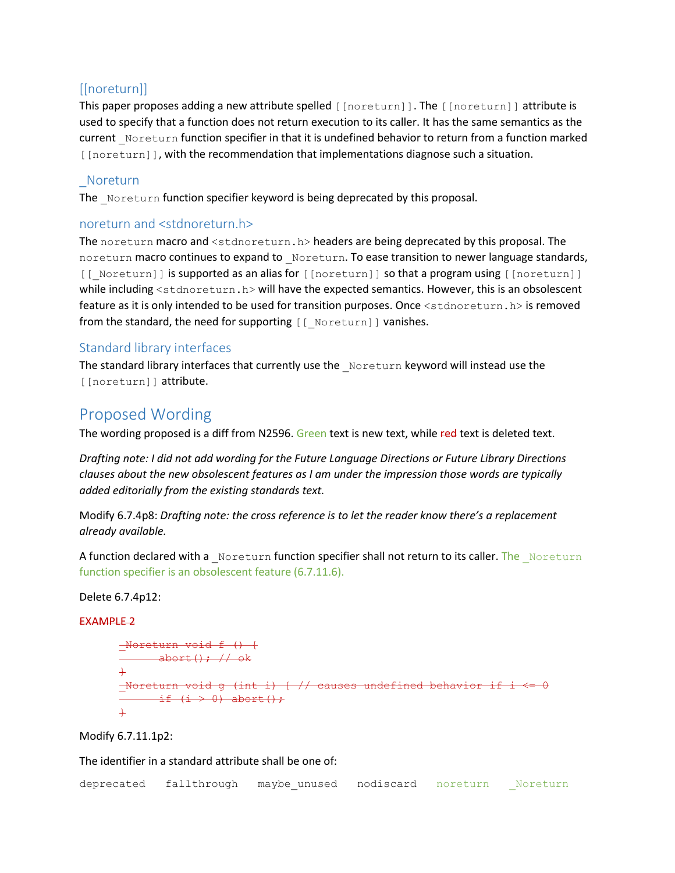## [[noreturn]]

This paper proposes adding a new attribute spelled [[noreturn]]. The [[noreturn]] attribute is used to specify that a function does not return execution to its caller. It has the same semantics as the current Noreturn function specifier in that it is undefined behavior to return from a function marked [[noreturn]], with the recommendation that implementations diagnose such a situation.

## \_Noreturn

The Noreturn function specifier keyword is being deprecated by this proposal.

### noreturn and <stdnoreturn.h>

The noreturn macro and <stdnoreturn.h> headers are being deprecated by this proposal. The noreturn macro continues to expand to Noreturn. To ease transition to newer language standards, [[ Noreturn]] is supported as an alias for [[noreturn]] so that a program using [[noreturn]] while including <stdnoreturn.h> will have the expected semantics. However, this is an obsolescent feature as it is only intended to be used for transition purposes. Once <stdnoreturn.h> is removed from the standard, the need for supporting [[ Noreturn]] vanishes.

## Standard library interfaces

The standard library interfaces that currently use the Noreturn keyword will instead use the [[noreturn]] attribute.

# Proposed Wording

The wording proposed is a diff from N2596. Green text is new text, while red text is deleted text.

*Drafting note: I did not add wording for the Future Language Directions or Future Library Directions clauses about the new obsolescent features as I am under the impression those words are typically added editorially from the existing standards text.*

Modify 6.7.4p8: *Drafting note: the cross reference is to let the reader know there's a replacement already available.*

A function declared with a \_Noreturn function specifier shall not return to its caller. The \_Noreturn function specifier is an obsolescent feature (6.7.11.6).

#### Delete 6.7.4p12:

#### EXAMPLE 2

\_Noreturn void f () { abort(); // ok } \_Noreturn void g (int i) { // causes undefined behavior if i <= 0 if (i > 0) abort(); }

#### Modify 6.7.11.1p2:

The identifier in a standard attribute shall be one of:

|  | deprecated fallthrough maybeunused nodiscard noreturn |  | Noreturn |
|--|-------------------------------------------------------|--|----------|
|  |                                                       |  |          |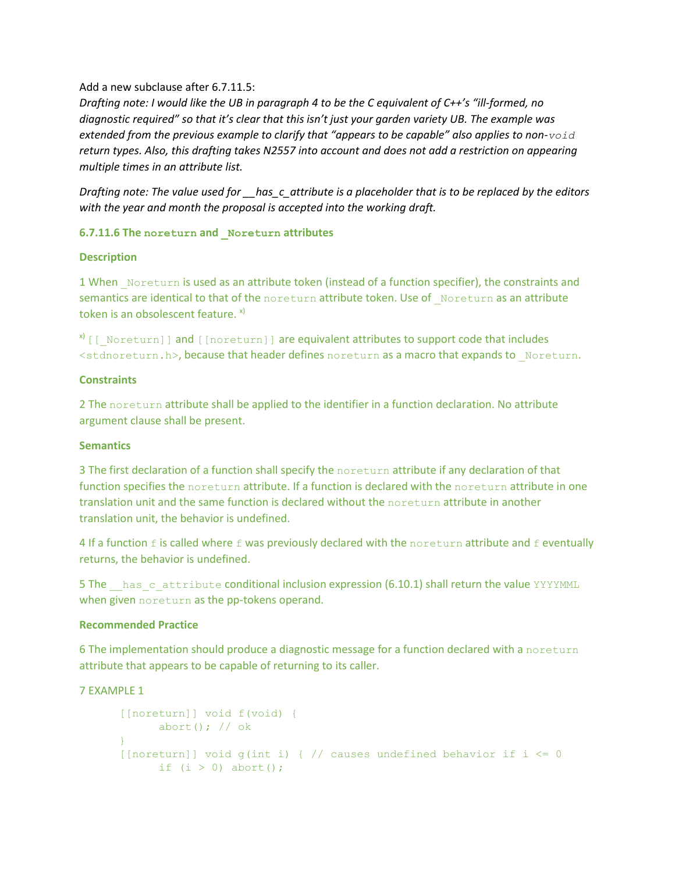#### Add a new subclause after 6.7.11.5:

*Drafting note: I would like the UB in paragraph 4 to be the C equivalent of C++'s "ill-formed, no diagnostic required" so that it's clear that this isn't just your garden variety UB. The example was extended from the previous example to clarify that "appears to be capable" also applies to non-void return types. Also, this drafting takes N2557 into account and does not add a restriction on appearing multiple times in an attribute list.*

*Drafting note: The value used for \_\_has\_c\_attribute is a placeholder that is to be replaced by the editors with the year and month the proposal is accepted into the working draft.*

#### **6.7.11.6 The noreturn and \_Noreturn attributes**

#### **Description**

1 When Noreturn is used as an attribute token (instead of a function specifier), the constraints and semantics are identical to that of the noreturn attribute token. Use of Noreturn as an attribute token is an obsolescent feature.  $x$ )

 $x^N$  [[ Noreturn]] and [[noreturn]] are equivalent attributes to support code that includes <stdnoreturn.h>, because that header defines noreturn as a macro that expands to Noreturn.

#### **Constraints**

2 The noreturn attribute shall be applied to the identifier in a function declaration. No attribute argument clause shall be present.

#### **Semantics**

3 The first declaration of a function shall specify the noreturn attribute if any declaration of that function specifies the noreturn attribute. If a function is declared with the noreturn attribute in one translation unit and the same function is declared without the noreturn attribute in another translation unit, the behavior is undefined.

4 If a function  $f$  is called where  $f$  was previously declared with the noreturn attribute and  $f$  eventually returns, the behavior is undefined.

5 The has cattribute conditional inclusion expression (6.10.1) shall return the value YYYYMML when given noreturn as the pp-tokens operand.

#### **Recommended Practice**

6 The implementation should produce a diagnostic message for a function declared with a noreturn attribute that appears to be capable of returning to its caller.

#### 7 EXAMPLE 1

```
[[noreturn]] void f(void) {
      abort(); // ok
}
[[noreturn]] void q(int i) \frac{1}{2} // causes undefined behavior if i \leq 0if (i > 0) abort(i);
```